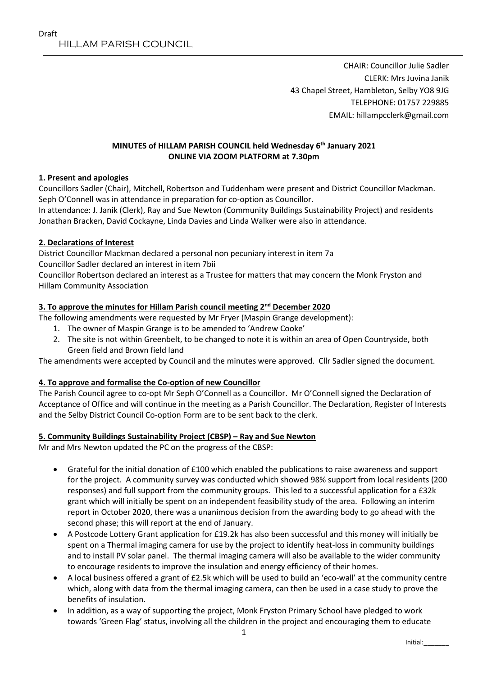CHAIR: Councillor Julie Sadler CLERK: Mrs Juvina Janik 43 Chapel Street, Hambleton, Selby YO8 9JG TELEPHONE: 01757 229885 EMAIL: hillampcclerk@gmail.com

## **MINUTES of HILLAM PARISH COUNCIL held Wednesday 6 th January 2021 ONLINE VIA ZOOM PLATFORM at 7.30pm**

## **1. Present and apologies**

Councillors Sadler (Chair), Mitchell, Robertson and Tuddenham were present and District Councillor Mackman. Seph O'Connell was in attendance in preparation for co-option as Councillor.

In attendance: J. Janik (Clerk), Ray and Sue Newton (Community Buildings Sustainability Project) and residents Jonathan Bracken, David Cockayne, Linda Davies and Linda Walker were also in attendance.

## **2. Declarations of Interest**

District Councillor Mackman declared a personal non pecuniary interest in item 7a Councillor Sadler declared an interest in item 7bii

Councillor Robertson declared an interest as a Trustee for matters that may concern the Monk Fryston and Hillam Community Association

## **3. To approve the minutes for Hillam Parish council meeting 2nd December 2020**

The following amendments were requested by Mr Fryer (Maspin Grange development):

- 1. The owner of Maspin Grange is to be amended to 'Andrew Cooke'
- 2. The site is not within Greenbelt, to be changed to note it is within an area of Open Countryside, both Green field and Brown field land

The amendments were accepted by Council and the minutes were approved. Cllr Sadler signed the document.

## **4. To approve and formalise the Co-option of new Councillor**

The Parish Council agree to co-opt Mr Seph O'Connell as a Councillor. Mr O'Connell signed the Declaration of Acceptance of Office and will continue in the meeting as a Parish Councillor. The Declaration, Register of Interests and the Selby District Council Co-option Form are to be sent back to the clerk.

## **5. Community Buildings Sustainability Project (CBSP) – Ray and Sue Newton**

Mr and Mrs Newton updated the PC on the progress of the CBSP:

- Grateful for the initial donation of £100 which enabled the publications to raise awareness and support for the project. A community survey was conducted which showed 98% support from local residents (200 responses) and full support from the community groups. This led to a successful application for a £32k grant which will initially be spent on an independent feasibility study of the area. Following an interim report in October 2020, there was a unanimous decision from the awarding body to go ahead with the second phase; this will report at the end of January.
- A Postcode Lottery Grant application for £19.2k has also been successful and this money will initially be spent on a Thermal imaging camera for use by the project to identify heat-loss in community buildings and to install PV solar panel. The thermal imaging camera will also be available to the wider community to encourage residents to improve the insulation and energy efficiency of their homes.
- A local business offered a grant of £2.5k which will be used to build an 'eco-wall' at the community centre which, along with data from the thermal imaging camera, can then be used in a case study to prove the benefits of insulation.
- In addition, as a way of supporting the project, Monk Fryston Primary School have pledged to work towards 'Green Flag' status, involving all the children in the project and encouraging them to educate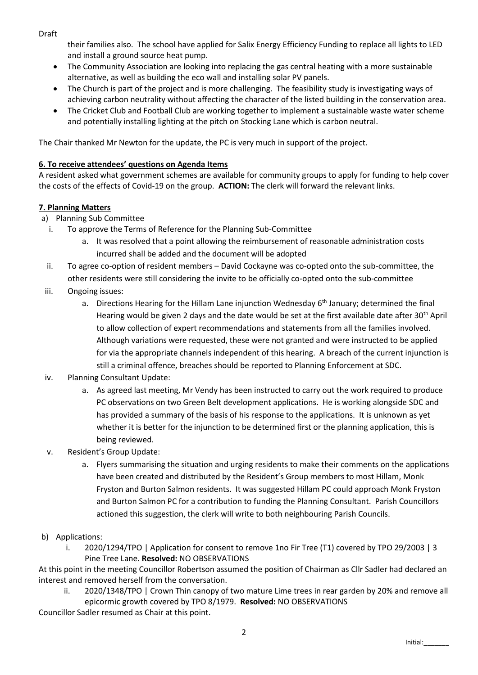Draft

their families also. The school have applied for Salix Energy Efficiency Funding to replace all lights to LED and install a ground source heat pump.

- The Community Association are looking into replacing the gas central heating with a more sustainable alternative, as well as building the eco wall and installing solar PV panels.
- The Church is part of the project and is more challenging. The feasibility study is investigating ways of achieving carbon neutrality without affecting the character of the listed building in the conservation area.
- The Cricket Club and Football Club are working together to implement a sustainable waste water scheme and potentially installing lighting at the pitch on Stocking Lane which is carbon neutral.

The Chair thanked Mr Newton for the update, the PC is very much in support of the project.

# **6. To receive attendees' questions on Agenda Items**

A resident asked what government schemes are available for community groups to apply for funding to help cover the costs of the effects of Covid-19 on the group. **ACTION:** The clerk will forward the relevant links.

## **7. Planning Matters**

- a) Planning Sub Committee
	- i. To approve the Terms of Reference for the Planning Sub-Committee
		- a. It was resolved that a point allowing the reimbursement of reasonable administration costs incurred shall be added and the document will be adopted
- ii. To agree co-option of resident members David Cockayne was co-opted onto the sub-committee, the other residents were still considering the invite to be officially co-opted onto the sub-committee
- iii. Ongoing issues:
	- a. Directions Hearing for the Hillam Lane injunction Wednesday 6<sup>th</sup> January; determined the final Hearing would be given 2 days and the date would be set at the first available date after 30<sup>th</sup> April to allow collection of expert recommendations and statements from all the families involved. Although variations were requested, these were not granted and were instructed to be applied for via the appropriate channels independent of this hearing. A breach of the current injunction is still a criminal offence, breaches should be reported to Planning Enforcement at SDC.
- iv. Planning Consultant Update:
	- a. As agreed last meeting, Mr Vendy has been instructed to carry out the work required to produce PC observations on two Green Belt development applications. He is working alongside SDC and has provided a summary of the basis of his response to the applications. It is unknown as yet whether it is better for the injunction to be determined first or the planning application, this is being reviewed.
- v. Resident's Group Update:
	- a. Flyers summarising the situation and urging residents to make their comments on the applications have been created and distributed by the Resident's Group members to most Hillam, Monk Fryston and Burton Salmon residents. It was suggested Hillam PC could approach Monk Fryston and Burton Salmon PC for a contribution to funding the Planning Consultant. Parish Councillors actioned this suggestion, the clerk will write to both neighbouring Parish Councils.
- b) Applications:
	- i. 2020/1294/TPO | Application for consent to remove 1no Fir Tree (T1) covered by TPO 29/2003 | 3 Pine Tree Lane. **Resolved:** NO OBSERVATIONS

At this point in the meeting Councillor Robertson assumed the position of Chairman as Cllr Sadler had declared an interest and removed herself from the conversation.

ii. 2020/1348/TPO | Crown Thin canopy of two mature Lime trees in rear garden by 20% and remove all epicormic growth covered by TPO 8/1979. **Resolved:** NO OBSERVATIONS

Councillor Sadler resumed as Chair at this point.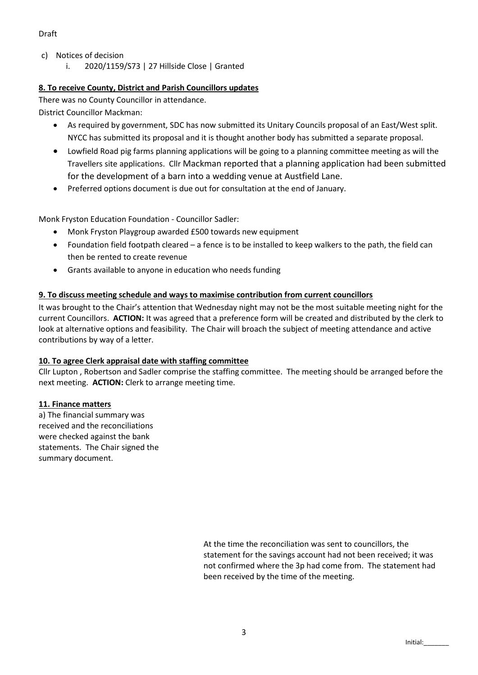- c) Notices of decision
	- i. 2020/1159/S73 | 27 Hillside Close | Granted

## **8. To receive County, District and Parish Councillors updates**

There was no County Councillor in attendance.

District Councillor Mackman:

- As required by government, SDC has now submitted its Unitary Councils proposal of an East/West split. NYCC has submitted its proposal and it is thought another body has submitted a separate proposal.
- Lowfield Road pig farms planning applications will be going to a planning committee meeting as will the Travellers site applications. Cllr Mackman reported that a planning application had been submitted for the development of a barn into a wedding venue at Austfield Lane.
- Preferred options document is due out for consultation at the end of January.

Monk Fryston Education Foundation - Councillor Sadler:

- Monk Fryston Playgroup awarded £500 towards new equipment
- Foundation field footpath cleared a fence is to be installed to keep walkers to the path, the field can then be rented to create revenue
- Grants available to anyone in education who needs funding

## **9. To discuss meeting schedule and ways to maximise contribution from current councillors**

It was brought to the Chair's attention that Wednesday night may not be the most suitable meeting night for the current Councillors. **ACTION:** It was agreed that a preference form will be created and distributed by the clerk to look at alternative options and feasibility. The Chair will broach the subject of meeting attendance and active contributions by way of a letter.

## **10. To agree Clerk appraisal date with staffing committee**

Cllr Lupton , Robertson and Sadler comprise the staffing committee. The meeting should be arranged before the next meeting. **ACTION:** Clerk to arrange meeting time.

## **11. Finance matters**

a) The financial summary was received and the reconciliations were checked against the bank statements. The Chair signed the summary document.

> At the time the reconciliation was sent to councillors, the statement for the savings account had not been received; it was not confirmed where the 3p had come from. The statement had been received by the time of the meeting.